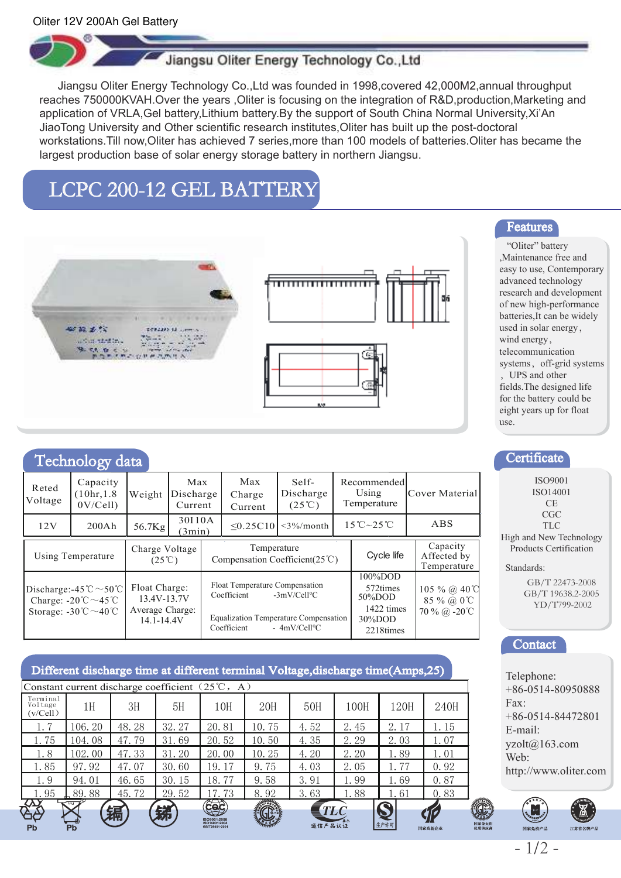### Jiangsu Oliter Energy Technology Co., Ltd.

 Jiangsu Oliter Energy Technology Co.,Ltd was founded in 1998,covered 42,000M2,annual throughput reaches 750000KVAH.Over the years ,Oliter is focusing on the integration of R&D,production,Marketing and application of VRLA,Gel battery,Lithium battery.By the support of South China Normal University,Xi'An JiaoTong University and Other scientific research institutes,Oliter has built up the post-doctoral workstations.Till now,Oliter has achieved 7 series,more than 100 models of batteries.Oliter has became the largest production base of solar energy storage battery in northern Jiangsu.

# LCPC 200-12 GEL BATTERY



Weight

Max Discharge

Technology data

Capacity (10hr,1.8

Reted



Recommended Using

Cover Material

#### Features

 "Oliter" battery ,Maintenance free and easy to use, Contemporary advanced technology research and development of new high-performance batteries,It can be widely used in solar energy, wind energy, telecommunication systems, off-grid systems ,UPS and other fields.The designed life for the battery could be eight years up for float use.

**Certificate** 

ISO9001 ISO14001 CE **CGC** TLC High and New Technology Products Certification

Standards:

GB/T 22473-2008 GB/T 19638.2-2005 YD/T799-2002

#### **Contact**

Telephone: +86-0514-80950888 Fax: +86-0514-84472801 E-mail: yzolt@163.com Web: http://www.oliter.com



Max Charge

Self-Discharge

| Constant current discharge coefficient (25°C, A) |        |       |       |                                                 |       |        |      |      |        |
|--------------------------------------------------|--------|-------|-------|-------------------------------------------------|-------|--------|------|------|--------|
| Terminal<br>Voltage<br>(v/Cell)                  | 1Η     | 3H    | 5Н    | 10H                                             | 20H   | 50H    | 100H | 120H | 240H   |
|                                                  | 106.20 | 48.28 | 32.27 | 20.81                                           | 10.75 | 4.52   | 2.45 | 2.17 | 15     |
| 1.75                                             | 104.08 | 47.79 | 31.69 | 20.52                                           | 10.50 | 4.35   | 2.29 | 2.03 | 1.07   |
| 1.8                                              | 102.00 | 47.33 | 31.20 | 20.00                                           | 10.25 | 4.20   | 2.20 | 1.89 | 1.01   |
| 1.85                                             | 97.92  | 47.07 | 30.60 | 19.17                                           | 9.75  | 4.03   | 2.05 | 1.77 | 0.92   |
| 1.9                                              | 94.01  | 46.65 | 30.15 | 18.77                                           | 9.58  | 3.91   | 1.99 | 1.69 | 0.87   |
| 1.95                                             | 89.88  | 45.72 | 29.52 | 17.73                                           | 8.92  | 3.63   | 1.88 | 61   | 0.83   |
|                                                  | ᠊ᢛ     | 拒     | 战     | <b>Cec</b>                                      |       | TLC    |      |      |        |
| <b>Pb</b>                                        | Pb     | 骝     | 21    | ISO9001:2008<br>ISO14001:2004<br>GB/T28001-2001 |       | 通信产品认证 | 春尔   | 生产许可 | 国家高新企业 |